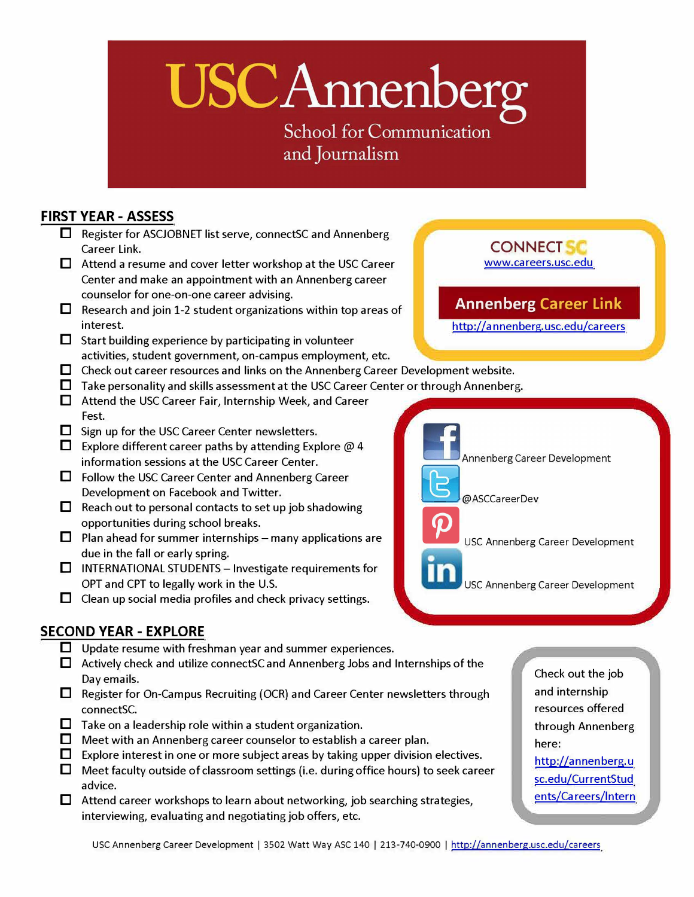# USCAnnenberg

**School for Communication** and Journalism

### **FIRST YEAR - ASSESS**

- **D** Register for ASCJOBNET list serve, connectSC and Annenberg **CONNECT SC** CONNECT **CONNECT**
- **D** Attend a resume and cover letter workshop at the USC Career Center and make an appointment with an Annenberg career counselor for one-on-one career advising.
- Research and join 1-2 student organizations within top areas of interest.
- **D** Start building experience by participating in volunteer activities, student government, on-campus employment, etc.
- □ Check out career resources and links on the Annenberg Career Development website.
- **D** Take personality and skills assessment at the USC Career Center or through Annenberg.
- **D** Attend the USC Career Fair, Internship Week, and Career Fest.
- Sign up for the USC Career Center newsletters.
- **D** Explore different career paths by attending Explore  $\omega$  4 information sessions at the USC Career Center.
- Follow the USC Career Center and Annenberg Career Development on Facebook and Twitter.
- Reach out to personal contacts to set up job shadowing opportunities during school breaks.
- $\Box$  Plan ahead for summer internships many applications are due in the fall or early spring.
- $\Box$  INTERNATIONAL STUDENTS Investigate requirements for OPT and CPT to legally work in the U.S. The U.S. USC Annenberg Career Development
- Clean up social media profiles and check privacy settings.

# **SECOND YEAR - EXPLORE**

- **D** Update resume with freshman year and summer experiences.
- **D** Actively check and utilize connectSC and Annen berg Jobs and Internships of the Day emails.
- **D** Register for On-Campus Recruiting (OCR) and Career Center newsletters through connectSC.
- **D** Take on a leadership role within a student organization.
- **D** Meet with an Annenberg career counselor to establish a career plan.
- **D** Explore interest in one or more subject areas by taking upper division electives.
- **D** Meet faculty outside of classroom settings (i.e. during office hours) to seek career advice.
- **D** Attend career workshops to learn about networking, job searching strategies, interviewing, evaluating and negotiating job offers, etc.

Check out the job and internship resources offered through Annenberg here: http://annen berg. u sc.edu/CurrentStud [ents/Ca reers/lntern](http://annenberg.usc.edu/currentstudents/careers/intern) 

# **Annenberg Career Link**

[www.careers.usc.edu](www.careeers.usc.edu) 

http://annenberg.usc.edu/careers

Annenberg Career Development @ASCCareerDev USC Annenberg Career Development

USC Annenberg Career Development | 3502 Watt Way ASC 140 | 213-740-0900 | http://annenberg.usc.edu/careers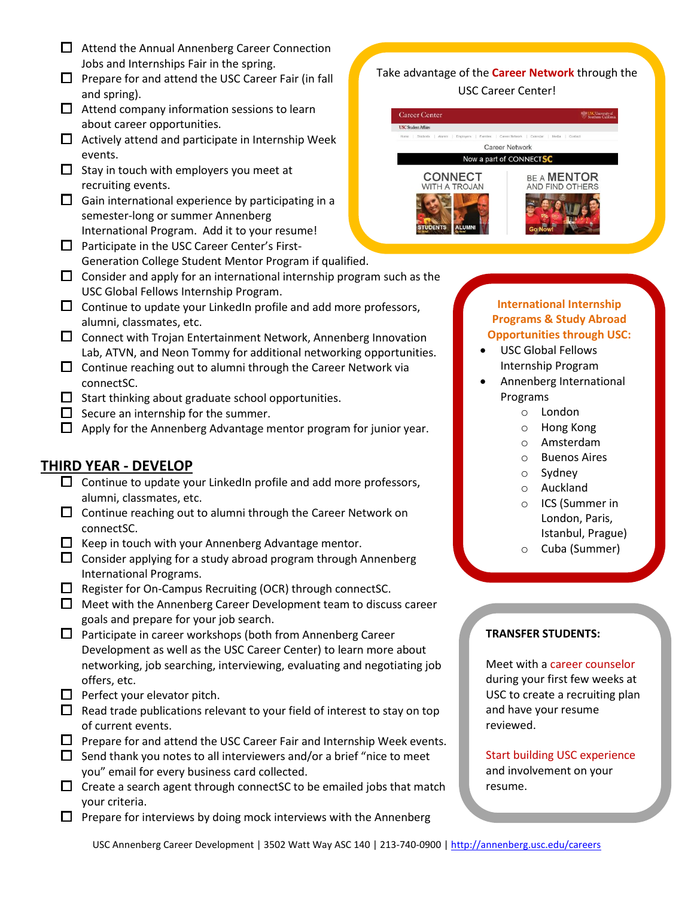- $\Box$  Attend the Annual Annenberg Career Connection Jobs and Internships Fair in the spring.
- $\Box$  Prepare for and attend the USC Career Fair (in fall and spring).
- $\Box$  Attend company information sessions to learn about career opportunities.
- $\Box$  Actively attend and participate in Internship Week events.
- $\Box$  Stay in touch with employers you meet at recruiting events.
- $\Box$  Gain international experience by participating in a semester-long or summer Annenberg International Program. Add it to your resume!
- $\Box$  Participate in the USC Career Center's First-Generation College Student Mentor Program if qualified.
- $\Box$  Consider and apply for an international internship program such as the USC Global Fellows Internship Program.
- $\Box$  Continue to update your LinkedIn profile and add more professors, alumni, classmates, etc.
- $\square$  Connect with Trojan Entertainment Network, Annenberg Innovation Lab, ATVN, and Neon Tommy for additional networking opportunities.
- $\Box$  Continue reaching out to alumni through the Career Network via connectSC.
- $\Box$  Start thinking about graduate school opportunities.
- $\Box$  Secure an internship for the summer.
- $\Box$  Apply for the Annenberg Advantage mentor program for junior year.

# **THIRD YEAR - DEVELOP**

- $\Box$  Continue to update your LinkedIn profile and add more professors, alumni, classmates, etc.
- $\Box$  Continue reaching out to alumni through the Career Network on connectSC.
- $\Box$  Keep in touch with your Annenberg Advantage mentor.
- $\Box$  Consider applying for a study abroad program through Annenberg International Programs.
- $\Box$  Register for On-Campus Recruiting (OCR) through connectSC.
- $\Box$  Meet with the Annenberg Career Development team to discuss career goals and prepare for your job search.
- $\Box$  Participate in career workshops (both from Annenberg Career Development as well as the USC Career Center) to learn more about networking, job searching, interviewing, evaluating and negotiating job offers, etc.
- $\Box$  Perfect your elevator pitch.
- $\Box$  Read trade publications relevant to your field of interest to stay on top of current events.
- $\Box$  Prepare for and attend the USC Career Fair and Internship Week events.
- $\Box$  Send thank you notes to all interviewers and/or a brief "nice to meet" you" email for every business card collected.
- $\Box$  Create a search agent through connectSC to be emailed jobs that match your criteria.
- $\Box$  Prepare for interviews by doing mock interviews with the Annenberg

#### Take advantage of the **Career Network** through the USC Career Center!



#### **International Internship Programs & Study Abroad Opportunities through USC:**

- USC Global Fellows Internship Program
- Annenberg International Programs
	- o London
	- o Hong Kong
	- o Amsterdam
	- o Buenos Aires
	- o Sydney
	- o Auckland
	- o ICS (Summer in London, Paris, Istanbul, Prague)
	- o Cuba (Summer)

#### **TRANSFER STUDENTS:**

Meet with a career counselor during your first few weeks at USC to create a recruiting plan and have your resume reviewed.

#### Start building USC experience and involvement on your resume.